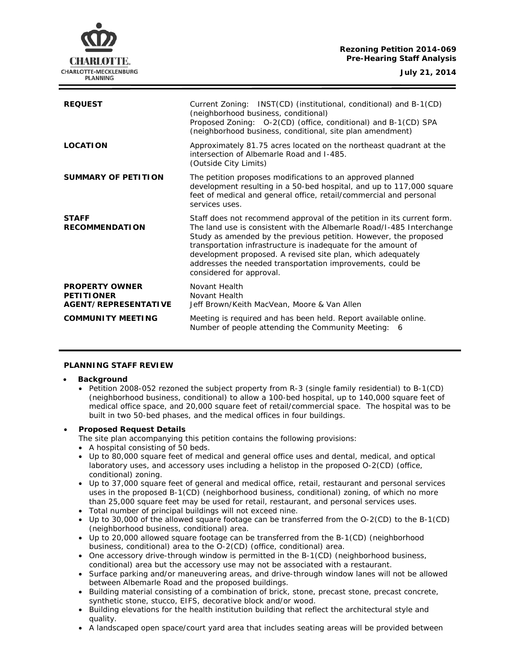# **Rezoning Petition 2014-069 Pre-Hearing Staff Analysis**



| <b>REQUEST</b>                                                     | Current Zoning: INST(CD) (institutional, conditional) and B-1(CD)<br>(neighborhood business, conditional)<br>Proposed Zoning: O-2(CD) (office, conditional) and B-1(CD) SPA<br>(neighborhood business, conditional, site plan amendment)                                                                                                                                                                                                     |
|--------------------------------------------------------------------|----------------------------------------------------------------------------------------------------------------------------------------------------------------------------------------------------------------------------------------------------------------------------------------------------------------------------------------------------------------------------------------------------------------------------------------------|
| <b>LOCATION</b>                                                    | Approximately 81.75 acres located on the northeast quadrant at the<br>intersection of Albemarle Road and I-485.<br>(Outside City Limits)                                                                                                                                                                                                                                                                                                     |
| <b>SUMMARY OF PETITION</b>                                         | The petition proposes modifications to an approved planned<br>development resulting in a 50-bed hospital, and up to 117,000 square<br>feet of medical and general office, retail/commercial and personal<br>services uses.                                                                                                                                                                                                                   |
| <b>STAFF</b><br><b>RECOMMENDATION</b>                              | Staff does not recommend approval of the petition in its current form.<br>The land use is consistent with the Albemarle Road/I-485 Interchange<br>Study as amended by the previous petition. However, the proposed<br>transportation infrastructure is inadequate for the amount of<br>development proposed. A revised site plan, which adequately<br>addresses the needed transportation improvements, could be<br>considered for approval. |
| <b>PROPERTY OWNER</b><br><b>PETITIONER</b><br>AGENT/REPRESENTATIVE | Novant Health<br>Novant Health<br>Jeff Brown/Keith MacVean, Moore & Van Allen                                                                                                                                                                                                                                                                                                                                                                |
| <b>COMMUNITY MEETING</b>                                           | Meeting is required and has been held. Report available online.<br>Number of people attending the Community Meeting:<br>- 6                                                                                                                                                                                                                                                                                                                  |

## **PLANNING STAFF REVIEW**

#### • **Background**

• Petition 2008-052 rezoned the subject property from R-3 (single family residential) to B-1(CD) (neighborhood business, conditional) to allow a 100-bed hospital, up to 140,000 square feet of medical office space, and 20,000 square feet of retail/commercial space. The hospital was to be built in two 50-bed phases, and the medical offices in four buildings.

## • **Proposed Request Details**

The site plan accompanying this petition contains the following provisions:

- A hospital consisting of 50 beds.
- Up to 80,000 square feet of medical and general office uses and dental, medical, and optical laboratory uses, and accessory uses including a helistop in the proposed O-2(CD) (office, conditional) zoning.
- Up to 37,000 square feet of general and medical office, retail, restaurant and personal services uses in the proposed B-1(CD) (neighborhood business, conditional) zoning, of which no more than 25,000 square feet may be used for retail, restaurant, and personal services uses.
- Total number of principal buildings will not exceed nine.
- Up to 30,000 of the allowed square footage can be transferred from the O-2(CD) to the B-1(CD) (neighborhood business, conditional) area.
- Up to 20,000 allowed square footage can be transferred from the B-1(CD) (neighborhood business, conditional) area to the O-2(CD) (office, conditional) area.
- One accessory drive-through window is permitted in the B-1(CD) (neighborhood business, conditional) area but the accessory use may not be associated with a restaurant.
- Surface parking and/or maneuvering areas, and drive-through window lanes will not be allowed between Albemarle Road and the proposed buildings.
- Building material consisting of a combination of brick, stone, precast stone, precast concrete, synthetic stone, stucco, EIFS, decorative block and/or wood.
- Building elevations for the health institution building that reflect the architectural style and quality.
- A landscaped open space/court yard area that includes seating areas will be provided between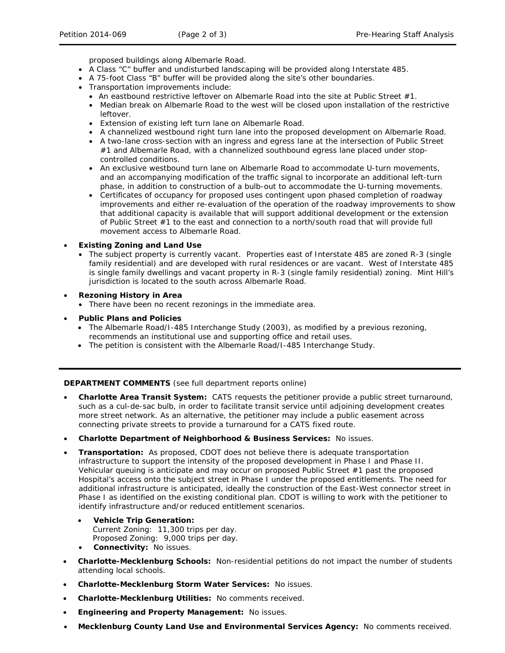proposed buildings along Albemarle Road.

- A Class "C" buffer and undisturbed landscaping will be provided along Interstate 485.
- A 75-foot Class "B" buffer will be provided along the site's other boundaries.
- Transportation improvements include:
	- An eastbound restrictive leftover on Albemarle Road into the site at Public Street #1.
	- Median break on Albemarle Road to the west will be closed upon installation of the restrictive leftover.
	- Extension of existing left turn lane on Albemarle Road.
	- A channelized westbound right turn lane into the proposed development on Albemarle Road.
	- A two-lane cross-section with an ingress and egress lane at the intersection of Public Street #1 and Albemarle Road, with a channelized southbound egress lane placed under stopcontrolled conditions.
	- An exclusive westbound turn lane on Albemarle Road to accommodate U-turn movements, and an accompanying modification of the traffic signal to incorporate an additional left-turn phase, in addition to construction of a bulb-out to accommodate the U-turning movements.
	- Certificates of occupancy for proposed uses contingent upon phased completion of roadway improvements and either re-evaluation of the operation of the roadway improvements to show that additional capacity is available that will support additional development or the extension of Public Street #1 to the east and connection to a north/south road that will provide full movement access to Albemarle Road.

### • **Existing Zoning and Land Use**

- The subject property is currently vacant. Properties east of Interstate 485 are zoned R-3 (single family residential) and are developed with rural residences or are vacant. West of Interstate 485 is single family dwellings and vacant property in R-3 (single family residential) zoning. Mint Hill's jurisdiction is located to the south across Albemarle Road.
- **Rezoning History in Area**
	- There have been no recent rezonings in the immediate area.
- **Public Plans and Policies**
	- The *Albemarle Road/I-485 Interchange Study* (2003), as modified by a previous rezoning, recommends an institutional use and supporting office and retail uses.
	- The petition is consistent with *the Albemarle Road/I-485 Interchange Study*.

**DEPARTMENT COMMENTS** (see full department reports online)

- **Charlotte Area Transit System:** CATS requests the petitioner provide a public street turnaround, such as a cul-de-sac bulb, in order to facilitate transit service until adjoining development creates more street network. As an alternative, the petitioner may include a public easement across connecting private streets to provide a turnaround for a CATS fixed route.
- **Charlotte Department of Neighborhood & Business Services:** No issues.
- **Transportation:** As proposed, CDOT does not believe there is adequate transportation infrastructure to support the intensity of the proposed development in Phase I and Phase II. Vehicular queuing is anticipate and may occur on proposed Public Street #1 past the proposed Hospital's access onto the subject street in Phase I under the proposed entitlements. The need for additional infrastructure is anticipated, ideally the construction of the East-West connector street in Phase I as identified on the existing conditional plan. CDOT is willing to work with the petitioner to identify infrastructure and/or reduced entitlement scenarios.
	- **Vehicle Trip Generation:** Current Zoning: 11,300 trips per day. Proposed Zoning: 9,000 trips per day.
	- **Connectivity:** No issues.
- **Charlotte-Mecklenburg Schools:** Non-residential petitions do not impact the number of students attending local schools.
- **Charlotte-Mecklenburg Storm Water Services:** No issues.
- **Charlotte-Mecklenburg Utilities:** No comments received.
- **Engineering and Property Management:** No issues.
- **Mecklenburg County Land Use and Environmental Services Agency:** No comments received.